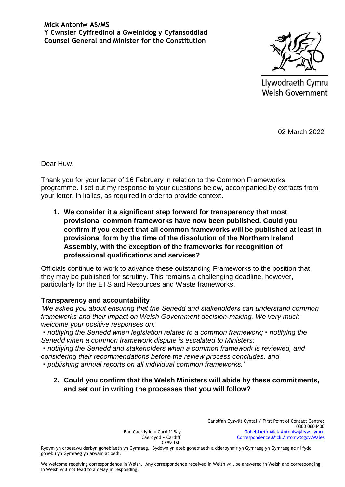

Llywodraeth Cymru Welsh Government

02 March 2022

Dear Huw,

Thank you for your letter of 16 February in relation to the Common Frameworks programme. I set out my response to your questions below, accompanied by extracts from your letter, in italics, as required in order to provide context.

**1. We consider it a significant step forward for transparency that most provisional common frameworks have now been published. Could you confirm if you expect that all common frameworks will be published at least in provisional form by the time of the dissolution of the Northern Ireland Assembly, with the exception of the frameworks for recognition of professional qualifications and services?**

Officials continue to work to advance these outstanding Frameworks to the position that they may be published for scrutiny. This remains a challenging deadline, however, particularly for the ETS and Resources and Waste frameworks.

#### **Transparency and accountability**

*'We asked you about ensuring that the Senedd and stakeholders can understand common frameworks and their impact on Welsh Government decision-making. We very much welcome your positive responses on:*

*▪ notifying the Senedd when legislation relates to a common framework; ▪ notifying the Senedd when a common framework dispute is escalated to Ministers;*

*▪ notifying the Senedd and stakeholders when a common framework is reviewed, and considering their recommendations before the review process concludes; and ▪ publishing annual reports on all individual common frameworks.'* 

**2. Could you confirm that the Welsh Ministers will abide by these commitments, and set out in writing the processes that you will follow?**

> Bae Caerdydd • Cardiff Bay Caerdydd • Cardiff CF99 1SN

Canolfan Cyswllt Cyntaf / First Point of Contact Centre: 0300 0604400 [Gohebiaeth.Mick.Antoniw@llyw.cymru](mailto:Gohebiaeth.Mick.Antoniw@llyw.cymru)  [Correspondence.Mick.Antoniw@gov.Wales](mailto:Correspondence.Mick.Antoniw@gov.Wales)

Rydym yn croesawu derbyn gohebiaeth yn Gymraeg. Byddwn yn ateb gohebiaeth a dderbynnir yn Gymraeg yn Gymraeg ac ni fydd gohebu yn Gymraeg yn arwain at oedi.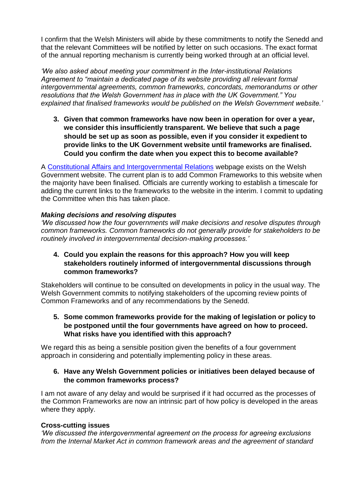I confirm that the Welsh Ministers will abide by these commitments to notify the Senedd and that the relevant Committees will be notified by letter on such occasions. The exact format of the annual reporting mechanism is currently being worked through at an official level.

*'We also asked about meeting your commitment in the Inter-institutional Relations Agreement to "maintain a dedicated page of its website providing all relevant formal intergovernmental agreements, common frameworks, concordats, memorandums or other resolutions that the Welsh Government has in place with the UK Government." You explained that finalised frameworks would be published on the Welsh Government website.'* 

**3. Given that common frameworks have now been in operation for over a year, we consider this insufficiently transparent. We believe that such a page should be set up as soon as possible, even if you consider it expedient to provide links to the UK Government website until frameworks are finalised. Could you confirm the date when you expect this to become available?**

A [Constitutional Affairs and Intergovernmental Relations](https://gov.wales/constitutional-affairs-and-intergovernmental-relations#Concordats) webpage exists on the Welsh Government website. The current plan is to add Common Frameworks to this website when the majority have been finalised. Officials are currently working to establish a timescale for adding the current links to the frameworks to the website in the interim. I commit to updating the Committee when this has taken place.

### *Making decisions and resolving disputes*

*'We discussed how the four governments will make decisions and resolve disputes through common frameworks. Common frameworks do not generally provide for stakeholders to be routinely involved in intergovernmental decision-making processes.'* 

**4. Could you explain the reasons for this approach? How you will keep stakeholders routinely informed of intergovernmental discussions through common frameworks?**

Stakeholders will continue to be consulted on developments in policy in the usual way. The Welsh Government commits to notifying stakeholders of the upcoming review points of Common Frameworks and of any recommendations by the Senedd.

**5. Some common frameworks provide for the making of legislation or policy to be postponed until the four governments have agreed on how to proceed. What risks have you identified with this approach?** 

We regard this as being a sensible position given the benefits of a four government approach in considering and potentially implementing policy in these areas.

### **6. Have any Welsh Government policies or initiatives been delayed because of the common frameworks process?**

I am not aware of any delay and would be surprised if it had occurred as the processes of the Common Frameworks are now an intrinsic part of how policy is developed in the areas where they apply.

#### **Cross-cutting issues**

*'We discussed the intergovernmental agreement on the process for agreeing exclusions from the Internal Market Act in common framework areas and the agreement of standard*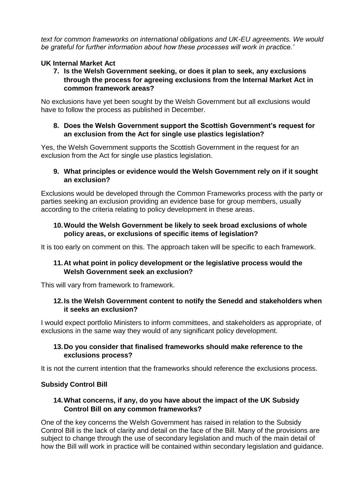*text for common frameworks on international obligations and UK-EU agreements. We would be grateful for further information about how these processes will work in practice.'* 

# **UK Internal Market Act**

**7. Is the Welsh Government seeking, or does it plan to seek, any exclusions through the process for agreeing exclusions from the Internal Market Act in common framework areas?** 

No exclusions have yet been sought by the Welsh Government but all exclusions would have to follow the process as published in December.

## **8. Does the Welsh Government support the Scottish Government's request for an exclusion from the Act for single use plastics legislation?**

Yes, the Welsh Government supports the Scottish Government in the request for an exclusion from the Act for single use plastics legislation.

## **9. What principles or evidence would the Welsh Government rely on if it sought an exclusion?**

Exclusions would be developed through the Common Frameworks process with the party or parties seeking an exclusion providing an evidence base for group members, usually according to the criteria relating to policy development in these areas.

# **10.Would the Welsh Government be likely to seek broad exclusions of whole policy areas, or exclusions of specific items of legislation?**

It is too early on comment on this. The approach taken will be specific to each framework.

## **11.At what point in policy development or the legislative process would the Welsh Government seek an exclusion?**

This will vary from framework to framework.

## **12.Is the Welsh Government content to notify the Senedd and stakeholders when it seeks an exclusion?**

I would expect portfolio Ministers to inform committees, and stakeholders as appropriate, of exclusions in the same way they would of any significant policy development.

## **13.Do you consider that finalised frameworks should make reference to the exclusions process?**

It is not the current intention that the frameworks should reference the exclusions process.

## **Subsidy Control Bill**

## **14.What concerns, if any, do you have about the impact of the UK Subsidy Control Bill on any common frameworks?**

One of the key concerns the Welsh Government has raised in relation to the Subsidy Control Bill is the lack of clarity and detail on the face of the Bill. Many of the provisions are subject to change through the use of secondary legislation and much of the main detail of how the Bill will work in practice will be contained within secondary legislation and guidance.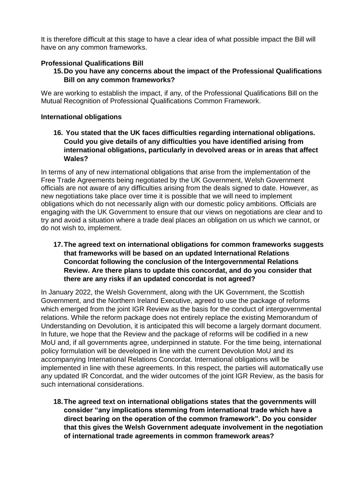It is therefore difficult at this stage to have a clear idea of what possible impact the Bill will have on any common frameworks.

# **Professional Qualifications Bill**

# **15.Do you have any concerns about the impact of the Professional Qualifications Bill on any common frameworks?**

We are working to establish the impact, if any, of the Professional Qualifications Bill on the Mutual Recognition of Professional Qualifications Common Framework.

## **International obligations**

**16. You stated that the UK faces difficulties regarding international obligations. Could you give details of any difficulties you have identified arising from international obligations, particularly in devolved areas or in areas that affect Wales?** 

In terms of any of new international obligations that arise from the implementation of the Free Trade Agreements being negotiated by the UK Government, Welsh Government officials are not aware of any difficulties arising from the deals signed to date. However, as new negotiations take place over time it is possible that we will need to implement obligations which do not necessarily align with our domestic policy ambitions. Officials are engaging with the UK Government to ensure that our views on negotiations are clear and to try and avoid a situation where a trade deal places an obligation on us which we cannot, or do not wish to, implement.

**17.The agreed text on international obligations for common frameworks suggests that frameworks will be based on an updated International Relations Concordat following the conclusion of the Intergovernmental Relations Review. Are there plans to update this concordat, and do you consider that there are any risks if an updated concordat is not agreed?** 

In January 2022, the Welsh Government, along with the UK Government, the Scottish Government, and the Northern Ireland Executive, agreed to use the package of reforms which emerged from the joint IGR Review as the basis for the conduct of intergovernmental relations. While the reform package does not entirely replace the existing Memorandum of Understanding on Devolution, it is anticipated this will become a largely dormant document. In future, we hope that the Review and the package of reforms will be codified in a new MoU and, if all governments agree, underpinned in statute. For the time being, international policy formulation will be developed in line with the current Devolution MoU and its accompanying International Relations Concordat. International obligations will be implemented in line with these agreements. In this respect, the parties will automatically use any updated IR Concordat, and the wider outcomes of the joint IGR Review, as the basis for such international considerations.

**18.The agreed text on international obligations states that the governments will consider "any implications stemming from international trade which have a direct bearing on the operation of the common framework". Do you consider that this gives the Welsh Government adequate involvement in the negotiation of international trade agreements in common framework areas?**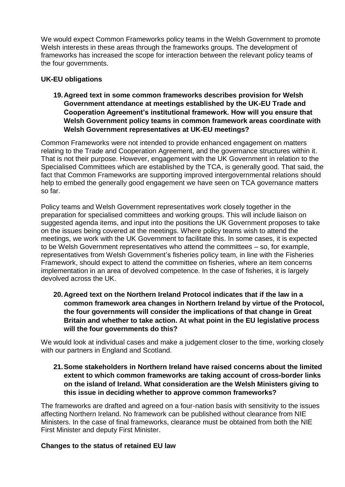We would expect Common Frameworks policy teams in the Welsh Government to promote Welsh interests in these areas through the frameworks groups. The development of frameworks has increased the scope for interaction between the relevant policy teams of the four governments.

### **UK-EU obligations**

**19.Agreed text in some common frameworks describes provision for Welsh Government attendance at meetings established by the UK-EU Trade and Cooperation Agreement's institutional framework. How will you ensure that Welsh Government policy teams in common framework areas coordinate with Welsh Government representatives at UK-EU meetings?** 

Common Frameworks were not intended to provide enhanced engagement on matters relating to the Trade and Cooperation Agreement, and the governance structures within it. That is not their purpose. However, engagement with the UK Government in relation to the Specialised Committees which are established by the TCA, is generally good. That said, the fact that Common Frameworks are supporting improved intergovernmental relations should help to embed the generally good engagement we have seen on TCA governance matters so far.

Policy teams and Welsh Government representatives work closely together in the preparation for specialised committees and working groups. This will include liaison on suggested agenda items, and input into the positions the UK Government proposes to take on the issues being covered at the meetings. Where policy teams wish to attend the meetings, we work with the UK Government to facilitate this. In some cases, it is expected to be Welsh Government representatives who attend the committees – so, for example, representatives from Welsh Government's fisheries policy team, in line with the Fisheries Framework, should expect to attend the committee on fisheries, where an item concerns implementation in an area of devolved competence. In the case of fisheries, it is largely devolved across the UK.

**20.Agreed text on the Northern Ireland Protocol indicates that if the law in a common framework area changes in Northern Ireland by virtue of the Protocol, the four governments will consider the implications of that change in Great Britain and whether to take action. At what point in the EU legislative process will the four governments do this?** 

We would look at individual cases and make a judgement closer to the time, working closely with our partners in England and Scotland.

**21.Some stakeholders in Northern Ireland have raised concerns about the limited extent to which common frameworks are taking account of cross-border links on the island of Ireland. What consideration are the Welsh Ministers giving to this issue in deciding whether to approve common frameworks?**

The frameworks are drafted and agreed on a four-nation basis with sensitivity to the issues affecting Northern Ireland. No framework can be published without clearance from NIE Ministers. In the case of final frameworks, clearance must be obtained from both the NIE First Minister and deputy First Minister.

#### **Changes to the status of retained EU law**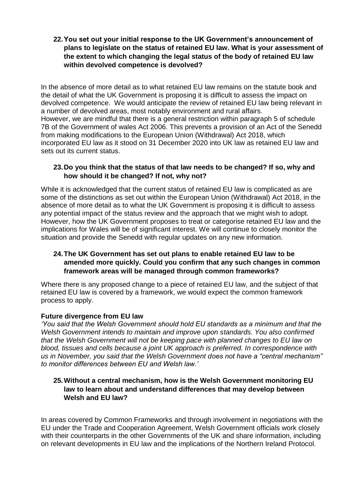**22.You set out your initial response to the UK Government's announcement of plans to legislate on the status of retained EU law. What is your assessment of the extent to which changing the legal status of the body of retained EU law within devolved competence is devolved?** 

In the absence of more detail as to what retained EU law remains on the statute book and the detail of what the UK Government is proposing it is difficult to assess the impact on devolved competence. We would anticipate the review of retained EU law being relevant in a number of devolved areas, most notably environment and rural affairs. However, we are mindful that there is a general restriction within paragraph 5 of schedule 7B of the Government of wales Act 2006. This prevents a provision of an Act of the Senedd from making modifications to the European Union (Withdrawal) Act 2018, which incorporated EU law as it stood on 31 December 2020 into UK law as retained EU law and sets out its current status.

## **23.Do you think that the status of that law needs to be changed? If so, why and how should it be changed? If not, why not?**

While it is acknowledged that the current status of retained EU law is complicated as are some of the distinctions as set out within the European Union (Withdrawal) Act 2018, in the absence of more detail as to what the UK Government is proposing it is difficult to assess any potential impact of the status review and the approach that we might wish to adopt. However, how the UK Government proposes to treat or categorise retained EU law and the implications for Wales will be of significant interest. We will continue to closely monitor the situation and provide the Senedd with regular updates on any new information.

## **24.The UK Government has set out plans to enable retained EU law to be amended more quickly. Could you confirm that any such changes in common framework areas will be managed through common frameworks?**

Where there is any proposed change to a piece of retained EU law, and the subject of that retained EU law is covered by a framework, we would expect the common framework process to apply.

#### **Future divergence from EU law**

*'You said that the Welsh Government should hold EU standards as a minimum and that the Welsh Government intends to maintain and improve upon standards. You also confirmed that the Welsh Government will not be keeping pace with planned changes to EU law on blood, tissues and cells because a joint UK approach is preferred. In correspondence with us in November, you said that the Welsh Government does not have a "central mechanism" to monitor differences between EU and Welsh law.'* 

## **25.Without a central mechanism, how is the Welsh Government monitoring EU law to learn about and understand differences that may develop between Welsh and EU law?**

In areas covered by Common Frameworks and through involvement in negotiations with the EU under the Trade and Cooperation Agreement, Welsh Government officials work closely with their counterparts in the other Governments of the UK and share information, including on relevant developments in EU law and the implications of the Northern Ireland Protocol.